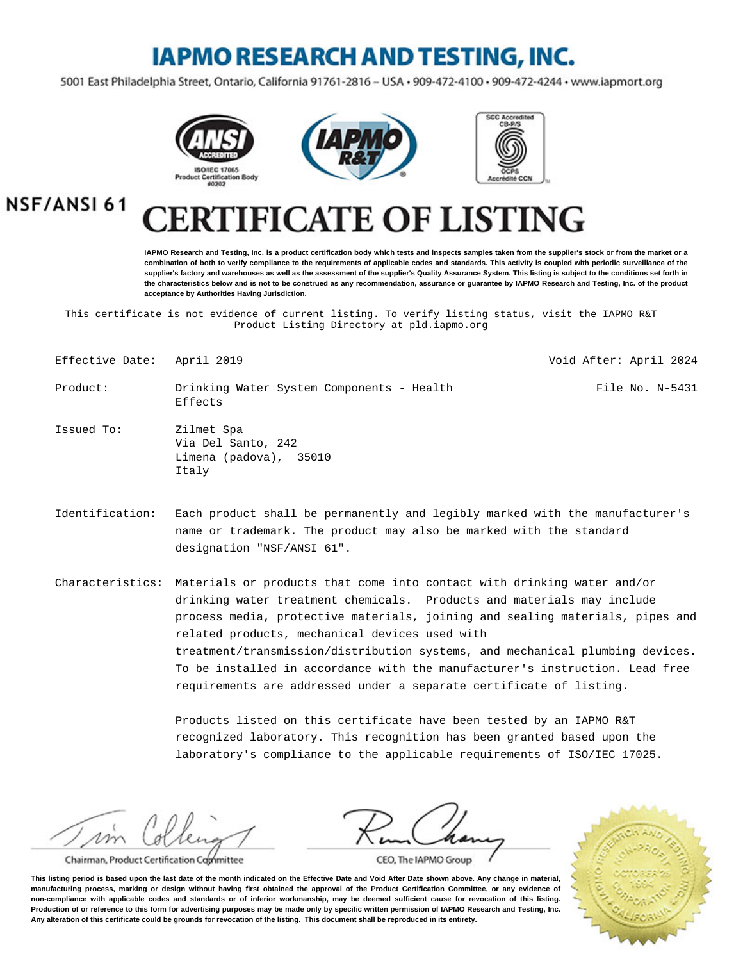## **IAPMO RESEARCH AND TESTING, INC.**

5001 East Philadelphia Street, Ontario, California 91761-2816 - USA · 909-472-4100 · 909-472-4244 · www.iapmort.org







NSF/ANSI 61

# **CATE OF LISTING**

**IAPMO Research and Testing, Inc. is a product certification body which tests and inspects samples taken from the supplier's stock or from the market or a combination of both to verify compliance to the requirements of applicable codes and standards. This activity is coupled with periodic surveillance of the supplier's factory and warehouses as well as the assessment of the supplier's Quality Assurance System. This listing is subject to the conditions set forth in the characteristics below and is not to be construed as any recommendation, assurance or guarantee by IAPMO Research and Testing, Inc. of the product acceptance by Authorities Having Jurisdiction.**

This certificate is not evidence of current listing. To verify listing status, visit the IAPMO R&T Product Listing Directory at pld.iapmo.org

| Effective Date: April 2019 |                                                                     | Void After: April 2024 |
|----------------------------|---------------------------------------------------------------------|------------------------|
| Product:                   | Drinking Water System Components - Health<br>Effects                | File No. N-5431        |
| Issued To:                 | Zilmet Spa<br>Via Del Santo, 242<br>Limena (padova), 35010<br>Italy |                        |

Identification: Each product shall be permanently and legibly marked with the manufacturer's name or trademark. The product may also be marked with the standard designation "NSF/ANSI 61".

Characteristics: Materials or products that come into contact with drinking water and/or drinking water treatment chemicals. Products and materials may include process media, protective materials, joining and sealing materials, pipes and related products, mechanical devices used with treatment/transmission/distribution systems, and mechanical plumbing devices. To be installed in accordance with the manufacturer's instruction. Lead free requirements are addressed under a separate certificate of listing.

> Products listed on this certificate have been tested by an IAPMO R&T recognized laboratory. This recognition has been granted based upon the laboratory's compliance to the applicable requirements of ISO/IEC 17025.

m

Chairman, Product Certification Committee

CEO, The IAPMO Group

**This listing period is based upon the last date of the month indicated on the Effective Date and Void After Date shown above. Any change in material, manufacturing process, marking or design without having first obtained the approval of the Product Certification Committee, or any evidence of non-compliance with applicable codes and standards or of inferior workmanship, may be deemed sufficient cause for revocation of this listing. Production of or reference to this form for advertising purposes may be made only by specific written permission of IAPMO Research and Testing, Inc. Any alteration of this certificate could be grounds for revocation of the listing. This document shall be reproduced in its entirety.**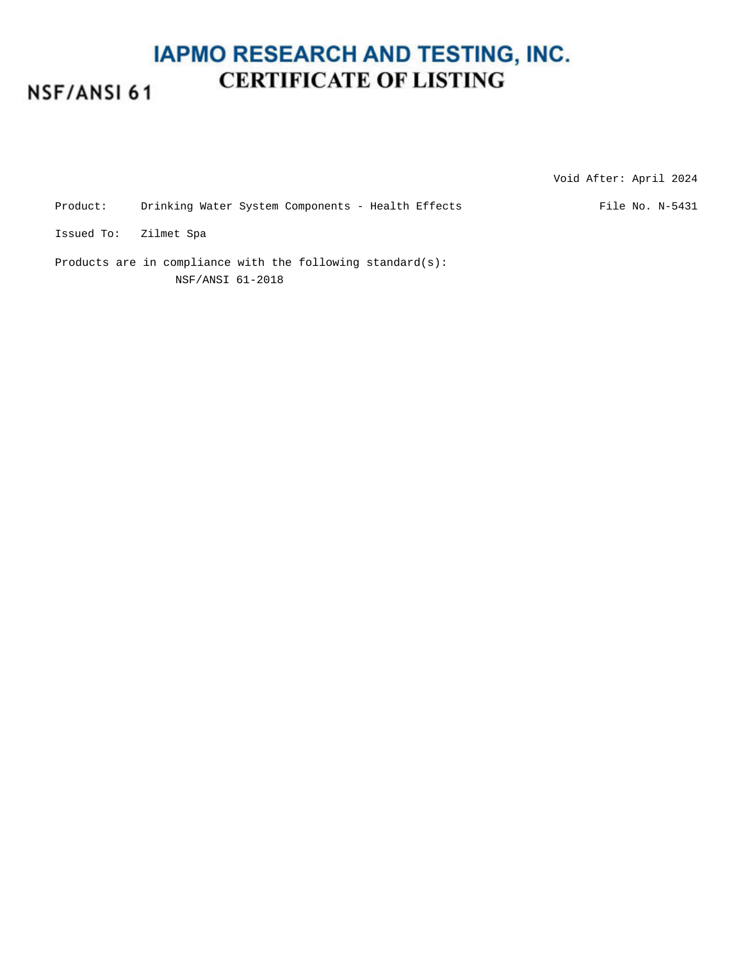#### **IAPMO RESEARCH AND TESTING, INC. CERTIFICATE OF LISTING** NSF/ANSI 61

Void After: April 2024

Product: Drinking Water System Components - Health Effects File No. N-5431

Issued To: Zilmet Spa

Products are in compliance with the following standard(s): NSF/ANSI 61-2018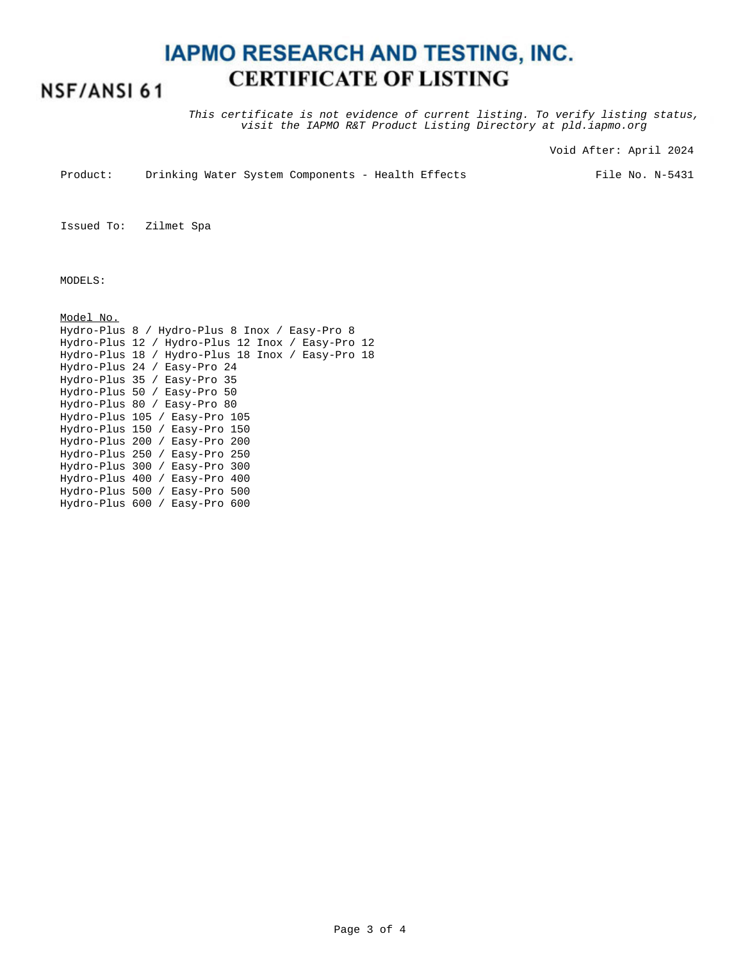### **IAPMO RESEARCH AND TESTING, INC. CERTIFICATE OF LISTING**

#### NSF/ANSI 61

This certificate is not evidence of current listing. To verify listing status, visit the IAPMO R&T Product Listing Directory at pld.iapmo.org

Void After: April 2024

Product: Drinking Water System Components - Health Effects

File No. N-5431

Issued To: Zilmet Spa

MODELS:

Model No. Hydro-Plus 8 / Hydro-Plus 8 Inox / Easy-Pro 8 Hydro-Plus 12 / Hydro-Plus 12 Inox / Easy-Pro 12 Hydro-Plus 18 / Hydro-Plus 18 Inox / Easy-Pro 18 Hydro-Plus 24 / Easy-Pro 24 Hydro-Plus 35 / Easy-Pro 35 Hydro-Plus 50 / Easy-Pro 50 Hydro-Plus 80 / Easy-Pro 80 Hydro-Plus 105 / Easy-Pro 105 Hydro-Plus 150 / Easy-Pro 150 Hydro-Plus 200 / Easy-Pro 200 Hydro-Plus 250 / Easy-Pro 250 Hydro-Plus 300 / Easy-Pro 300 Hydro-Plus 400 / Easy-Pro 400 Hydro-Plus 500 / Easy-Pro 500 Hydro-Plus 600 / Easy-Pro 600